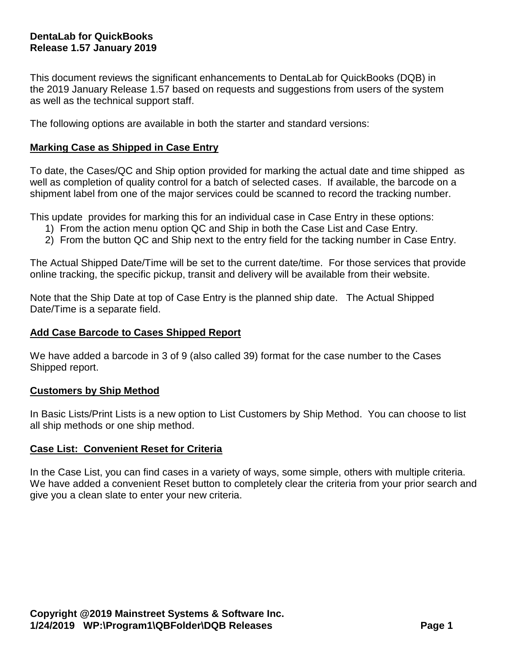# **DentaLab for QuickBooks Release 1.57 January 2019**

This document reviews the significant enhancements to DentaLab for QuickBooks (DQB) in the 2019 January Release 1.57 based on requests and suggestions from users of the system as well as the technical support staff.

The following options are available in both the starter and standard versions:

## **Marking Case as Shipped in Case Entry**

To date, the Cases/QC and Ship option provided for marking the actual date and time shipped as well as completion of quality control for a batch of selected cases. If available, the barcode on a shipment label from one of the major services could be scanned to record the tracking number.

This update provides for marking this for an individual case in Case Entry in these options:

- 1) From the action menu option QC and Ship in both the Case List and Case Entry.
- 2) From the button QC and Ship next to the entry field for the tacking number in Case Entry.

The Actual Shipped Date/Time will be set to the current date/time. For those services that provide online tracking, the specific pickup, transit and delivery will be available from their website.

Note that the Ship Date at top of Case Entry is the planned ship date. The Actual Shipped Date/Time is a separate field.

#### **Add Case Barcode to Cases Shipped Report**

We have added a barcode in 3 of 9 (also called 39) format for the case number to the Cases Shipped report.

#### **Customers by Ship Method**

In Basic Lists/Print Lists is a new option to List Customers by Ship Method. You can choose to list all ship methods or one ship method.

#### **Case List: Convenient Reset for Criteria**

In the Case List, you can find cases in a variety of ways, some simple, others with multiple criteria. We have added a convenient Reset button to completely clear the criteria from your prior search and give you a clean slate to enter your new criteria.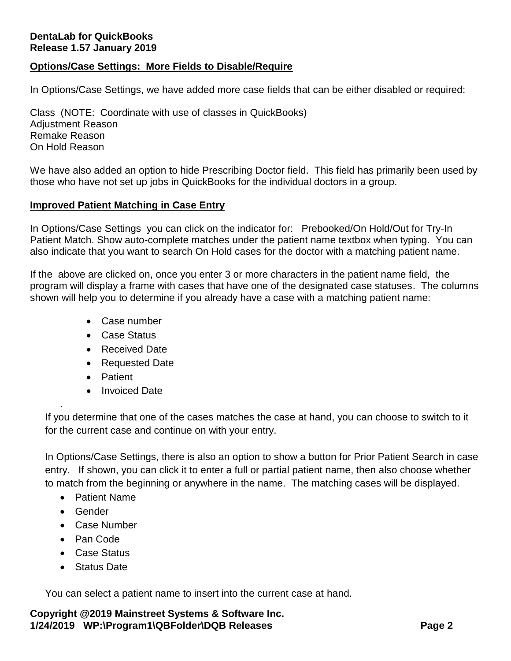# **DentaLab for QuickBooks Release 1.57 January 2019**

### **Options/Case Settings: More Fields to Disable/Require**

In Options/Case Settings, we have added more case fields that can be either disabled or required:

Class (NOTE: Coordinate with use of classes in QuickBooks) Adjustment Reason Remake Reason On Hold Reason

We have also added an option to hide Prescribing Doctor field. This field has primarily been used by those who have not set up jobs in QuickBooks for the individual doctors in a group.

### **Improved Patient Matching in Case Entry**

In Options/Case Settings you can click on the indicator for: Prebooked/On Hold/Out for Try-In Patient Match. Show auto-complete matches under the patient name textbox when typing. You can also indicate that you want to search On Hold cases for the doctor with a matching patient name.

If the above are clicked on, once you enter 3 or more characters in the patient name field, the program will display a frame with cases that have one of the designated case statuses. The columns shown will help you to determine if you already have a case with a matching patient name:

- Case number
- Case Status
- Received Date
- Requested Date
- Patient
- Invoiced Date

If you determine that one of the cases matches the case at hand, you can choose to switch to it for the current case and continue on with your entry.

In Options/Case Settings, there is also an option to show a button for Prior Patient Search in case entry. If shown, you can click it to enter a full or partial patient name, then also choose whether to match from the beginning or anywhere in the name. The matching cases will be displayed.

- Patient Name
- Gender

.

- Case Number
- Pan Code
- Case Status
- Status Date

You can select a patient name to insert into the current case at hand.

**Copyright @2019 Mainstreet Systems & Software Inc. 1/24/2019 WP:\Program1\QBFolder\DQB Releases Page 2**